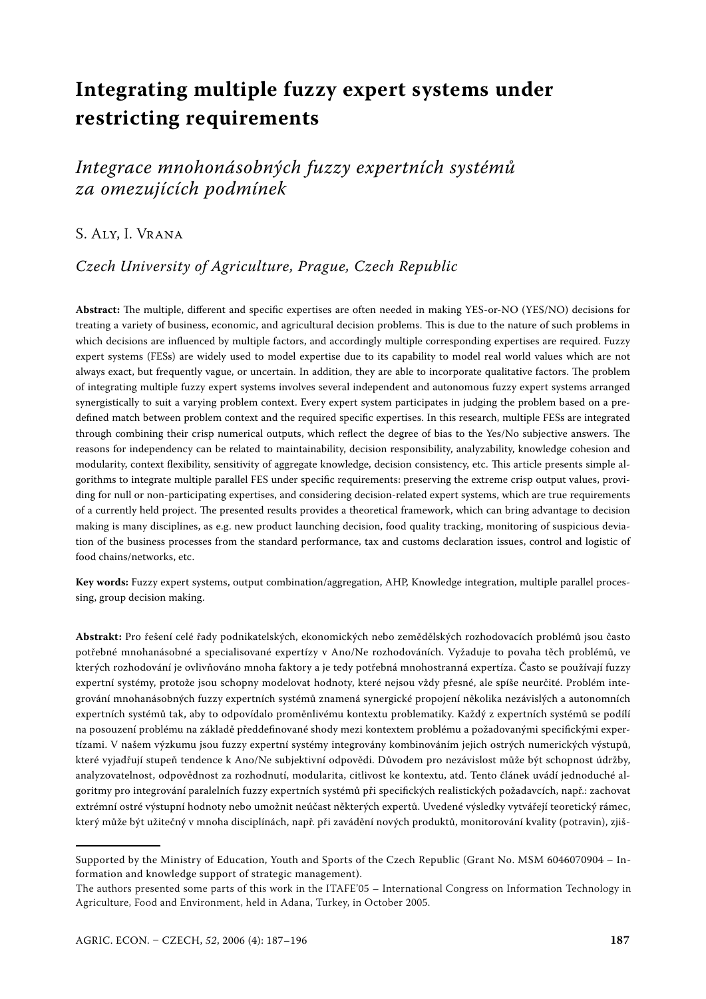# **Integrating multiple fuzzy expert systems under restricting requirements**

*Integrace mnohonásobných fuzzy expertních systémů za omezujících podmínek*

S. ALY, I. VRANA

# *Czech University of Agriculture, Prague, Czech Republic*

**Abstract:** The multiple, different and specific expertises are often needed in making YES-or-NO (YES/NO) decisions for treating a variety of business, economic, and agricultural decision problems. This is due to the nature of such problems in which decisions are influenced by multiple factors, and accordingly multiple corresponding expertises are required. Fuzzy expert systems (FESs) are widely used to model expertise due to its capability to model real world values which are not always exact, but frequently vague, or uncertain. In addition, they are able to incorporate qualitative factors. The problem of integrating multiple fuzzy expert systems involves several independent and autonomous fuzzy expert systems arranged synergistically to suit a varying problem context. Every expert system participates in judging the problem based on a predefined match between problem context and the required specific expertises. In this research, multiple FESs are integrated through combining their crisp numerical outputs, which reflect the degree of bias to the Yes/No subjective answers. The reasons for independency can be related to maintainability, decision responsibility, analyzability, knowledge cohesion and modularity, context flexibility, sensitivity of aggregate knowledge, decision consistency, etc. This article presents simple algorithms to integrate multiple parallel FES under specific requirements: preserving the extreme crisp output values, providing for null or non-participating expertises, and considering decision-related expert systems, which are true requirements of a currently held project. The presented results provides a theoretical framework, which can bring advantage to decision making is many disciplines, as e.g. new product launching decision, food quality tracking, monitoring of suspicious deviation of the business processes from the standard performance, tax and customs declaration issues, control and logistic of food chains/networks, etc.

**Key words:** Fuzzy expert systems, output combination/aggregation, AHP, Knowledge integration, multiple parallel processing, group decision making.

**Abstrakt:** Pro řešení celé řady podnikatelských, ekonomických nebo zemědělských rozhodovacích problémů jsou často potřebné mnohanásobné a specialisované expertízy v Ano/Ne rozhodováních. Vyžaduje to povaha těch problémů, ve kterých rozhodování je ovlivňováno mnoha faktory a je tedy potřebná mnohostranná expertíza. Často se používají fuzzy expertní systémy, protože jsou schopny modelovat hodnoty, které nejsou vždy přesné, ale spíše neurčité. Problém integrování mnohanásobných fuzzy expertních systémů znamená synergické propojení několika nezávislých a autonomních expertních systémů tak, aby to odpovídalo proměnlivému kontextu problematiky. Každý z expertních systémů se podílí na posouzení problému na základě předdefinované shody mezi kontextem problému a požadovanými specifickými expertízami. V našem výzkumu jsou fuzzy expertní systémy integrovány kombinováním jejich ostrých numerických výstupů, které vyjadřují stupeň tendence k Ano/Ne subjektivní odpovědi. Důvodem pro nezávislost může být schopnost údržby, analyzovatelnost, odpovědnost za rozhodnutí, modularita, citlivost ke kontextu, atd. Tento článek uvádí jednoduché algoritmy pro integrování paralelních fuzzy expertních systémů při specifických realistických požadavcích, např.: zachovat extrémní ostré výstupní hodnoty nebo umožnit neúčast některých expertů. Uvedené výsledky vytvářejí teoretický rámec, který může být užitečný v mnoha disciplínách, např. při zavádění nových produktů, monitorování kvality (potravin), zjiš-

Supported by the Ministry of Education, Youth and Sports of the Czech Republic (Grant No. MSM 6046070904 – Information and knowledge support of strategic management).

The authors presented some parts of this work in the ITAFE'05 – International Congress on Information Technology in Agriculture, Food and Environment, held in Adana, Turkey, in October 2005.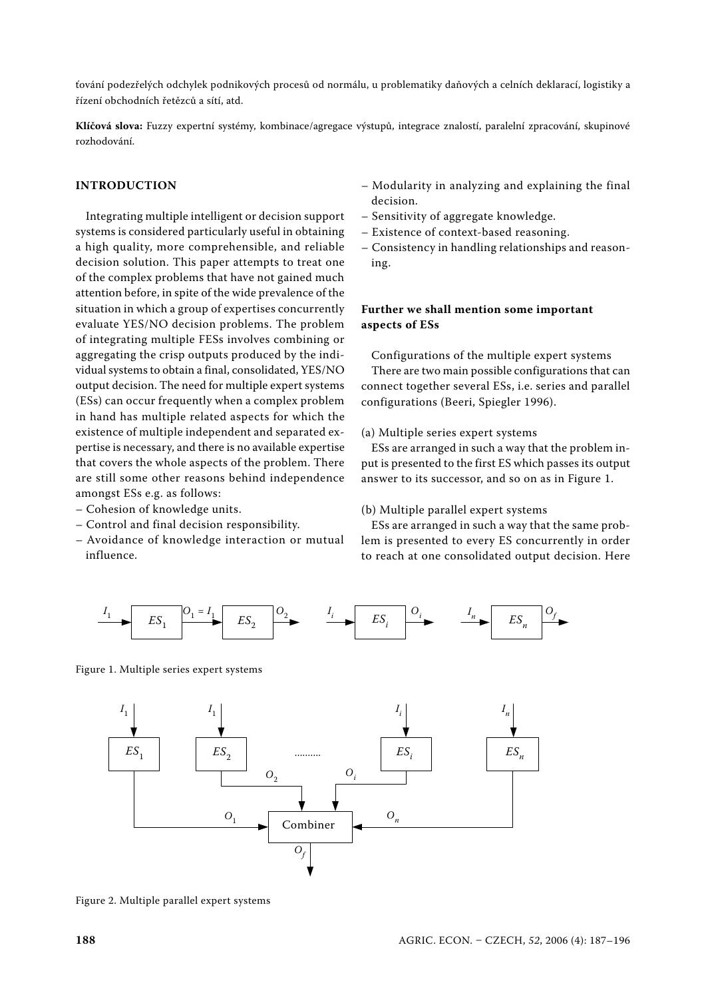ťování podezřelých odchylek podnikových procesů od normálu, u problematiky daňových a celních deklarací, logistiky a řízení obchodních řetězců a sítí, atd.

**Klíčová slova:** Fuzzy expertní systémy, kombinace/agregace výstupů, integrace znalostí, paralelní zpracování, skupinové rozhodování.

## **INTRODUCTION**

Integrating multiple intelligent or decision support systems is considered particularly useful in obtaining a high quality, more comprehensible, and reliable decision solution. This paper attempts to treat one of the complex problems that have not gained much attention before, in spite of the wide prevalence of the situation in which a group of expertises concurrently evaluate YES/NO decision problems. The problem of integrating multiple FESs involves combining or aggregating the crisp outputs produced by the individual systems to obtain a final, consolidated, YES/NO output decision. The need for multiple expert systems (ESs) can occur frequently when a complex problem in hand has multiple related aspects for which the existence of multiple independent and separated expertise is necessary, and there is no available expertise that covers the whole aspects of the problem. There are still some other reasons behind independence amongst ESs e.g. as follows:

- Cohesion of knowledge units.
- Control and final decision responsibility.
- Avoidance of knowledge interaction or mutual influence.
- Modularity in analyzing and explaining the final decision.
- Sensitivity of aggregate knowledge.
- Existence of context-based reasoning.
- Consistency in handling relationships and reasoning.

## **Further we shall mention some important aspects of ESs**

Configurations of the multiple expert systems There are two main possible configurations that can connect together several ESs, i.e. series and parallel configurations (Beeri, Spiegler 1996).

#### (a) Multiple series expert systems

ESs are arranged in such a way that the problem input is presented to the first ES which passes its output answer to its successor, and so on as in Figure 1.

#### (b) Multiple parallel expert systems

ESs are arranged in such a way that the same problem is presented to every ES concurrently in order to reach at one consolidated output decision. Here



Figure 1. Multiple series expert systems



Figure 2. Multiple parallel expert systems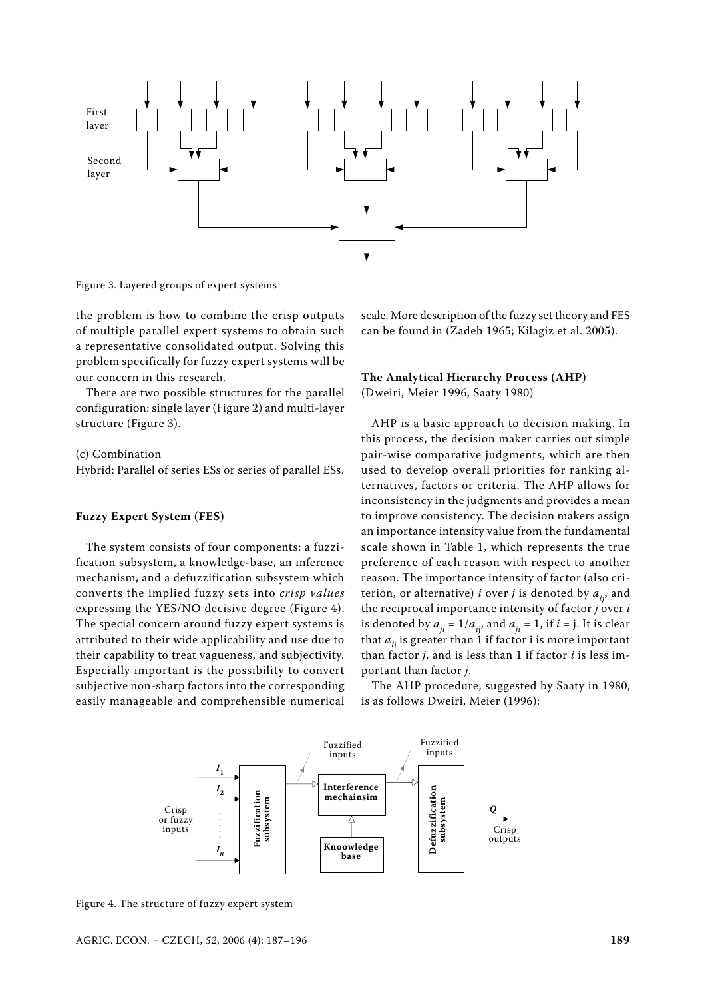

Figure 3. Layered groups of expert systems

the problem is how to combine the crisp outputs of multiple parallel expert systems to obtain such a representative consolidated output. Solving this problem specifically for fuzzy expert systems will be our concern in this research.

There are two possible structures for the parallel configuration: single layer (Figure 2) and multi-layer structure (Figure 3).

#### (c) Combination

Hybrid: Parallel of series ESs or series of parallel ESs.

#### **Fuzzy Expert System (FES)**

The system consists of four components: a fuzzification subsystem, a knowledge-base, an inference mechanism, and a defuzzification subsystem which converts the implied fuzzy sets into *crisp values*  expressing the YES/NO decisive degree (Figure 4). The special concern around fuzzy expert systems is attributed to their wide applicability and use due to their capability to treat vagueness, and subjectivity. Especially important is the possibility to convert subjective non-sharp factors into the corresponding easily manageable and comprehensible numerical

scale. More description of the fuzzy set theory and FES can be found in (Zadeh 1965; Kilagiz et al. 2005).

#### **The Analytical Hierarchy Process (AHP)**  (Dweiri, Meier 1996; Saaty 1980)

AHP is a basic approach to decision making. In this process, the decision maker carries out simple pair-wise comparative judgments, which are then used to develop overall priorities for ranking alternatives, factors or criteria. The AHP allows for inconsistency in the judgments and provides a mean to improve consistency. The decision makers assign an importance intensity value from the fundamental scale shown in Table 1, which represents the true preference of each reason with respect to another reason. The importance intensity of factor (also criterion, or alternative) *i* over *j* is denoted by  $a_{ij}$ , and the reciprocal importance intensity of factor *j* over *i* is denoted by  $a_{ji} = 1/a_{ij}$ , and  $a_{ji} = 1$ , if  $i = j$ . It is clear that  $a_{ij}$  is greater than 1 if factor i is more important than factor *j*, and is less than 1 if factor *i* is less important than factor *j*.

The AHP procedure, suggested by Saaty in 1980, is as follows Dweiri, Meier (1996):



Figure 4. The structure of fuzzy expert system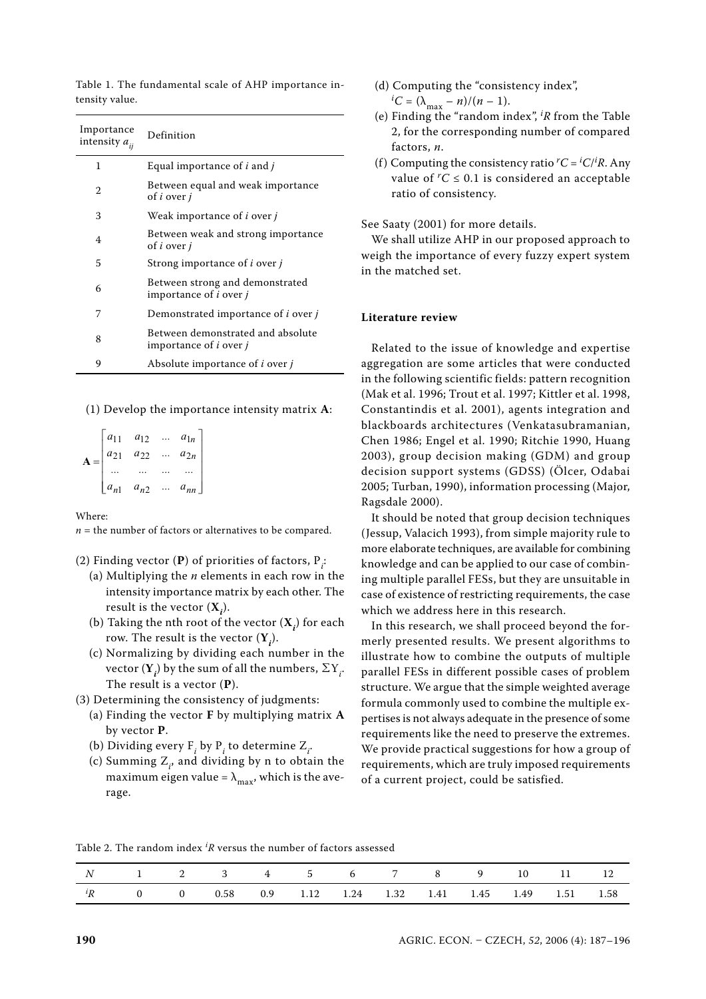| Importance<br>intensity $a_{ii}$ | Definition                                                                |
|----------------------------------|---------------------------------------------------------------------------|
| 1                                | Equal importance of i and j                                               |
| 2                                | Between equal and weak importance<br>of <i>i</i> over <i>j</i>            |
| 3                                | Weak importance of <i>i</i> over <i>j</i>                                 |
| 4                                | Between weak and strong importance<br>of <i>i</i> over <i>j</i>           |
| 5                                | Strong importance of <i>i</i> over <i>j</i>                               |
| 6                                | Between strong and demonstrated<br>importance of <i>i</i> over <i>j</i>   |
| 7                                | Demonstrated importance of <i>i</i> over <i>j</i>                         |
| 8                                | Between demonstrated and absolute<br>importance of <i>i</i> over <i>j</i> |
| 9                                | Absolute importance of <i>i</i> over <i>j</i>                             |

Table 1. The fundamental scale of AHP importance intensity value.

#### (1) Develop the importance intensity matrix **A**:

| $a_{11}$ | $a_{12}$ | $\ldots\quad a_{1n}$ |
|----------|----------|----------------------|
| $a_{21}$ | $a_{22}$ | $\cdots$ $a_{2n}$    |
|          |          |                      |
| $a_{n1}$ | $a_{n2}$ | $a_{nn}$             |

Where:

 $n =$  the number of factors or alternatives to be compared.

- (2) Finding vector (**P**) of priorities of factors,  $P_i$ :
	- (a) Multiplying the *n* elements in each row in the intensity importance matrix by each other. The result is the vector (**X***<sup>i</sup>* ).
	- (b) Taking the nth root of the vector  $(X_i)$  for each row. The result is the vector  $(\mathbf{Y}_i)$ .
	- (c) Normalizing by dividing each number in the vector  $(Y_i)$  by the sum of all the numbers,  $\Sigma Y_i$ . The result is a vector (**P**).

(3) Determining the consistency of judgments:

- (a) Finding the vector **F** by multiplying matrix **A** by vector **P**.
- (b) Dividing every  $F_i$  by  $P_i$  to determine  $Z_i$ .
- (c) Summing  $Z_i$ , and dividing by n to obtain the maximum eigen value =  $\lambda_{\text{max}}$ , which is the average.

(d) Computing the "consistency index",

$$
{}^{i}C = (\lambda_{\max} - n)/(n-1).
$$

- (e) Finding the "random index", *<sup>i</sup> R* from the Table 2, for the corresponding number of compared factors, *n*.
- (f) Computing the consistency ratio  ${}^rC = {}^iC / {}^iR$ . Any value of  $^rC \leq 0.1$  is considered an acceptable ratio of consistency.

See Saaty (2001) for more details.

We shall utilize AHP in our proposed approach to weigh the importance of every fuzzy expert system in the matched set.

#### **Literature review**

Related to the issue of knowledge and expertise aggregation are some articles that were conducted in the following scientific fields: pattern recognition (Mak et al. 1996; Trout et al. 1997; Kittler et al. 1998, Constantindis et al. 2001), agents integration and blackboards architectures (Venkatasubramanian, Chen 1986; Engel et al. 1990; Ritchie 1990, Huang 2003), group decision making (GDM) and group decision support systems (GDSS) (Ölcer, Odabai 2005; Turban, 1990), information processing (Major, Ragsdale 2000).

It should be noted that group decision techniques (Jessup, Valacich 1993), from simple majority rule to more elaborate techniques, are available for combining knowledge and can be applied to our case of combining multiple parallel FESs, but they are unsuitable in case of existence of restricting requirements, the case which we address here in this research.

In this research, we shall proceed beyond the formerly presented results. We present algorithms to illustrate how to combine the outputs of multiple parallel FESs in different possible cases of problem structure. We argue that the simple weighted average formula commonly used to combine the multiple expertises is not always adequate in the presence of some requirements like the need to preserve the extremes. We provide practical suggestions for how a group of requirements, which are truly imposed requirements of a current project, could be satisfied.

Table 2. The random index *<sup>i</sup> R* versus the number of factors assessed

|  | N 1 2 3 4 5 6 7 8 9 10 11 12                                   |  |  |  |  |  |
|--|----------------------------------------------------------------|--|--|--|--|--|
|  | ${}^{i}R$ 0 0 0.58 0.9 1.12 1.24 1.32 1.41 1.45 1.49 1.51 1.58 |  |  |  |  |  |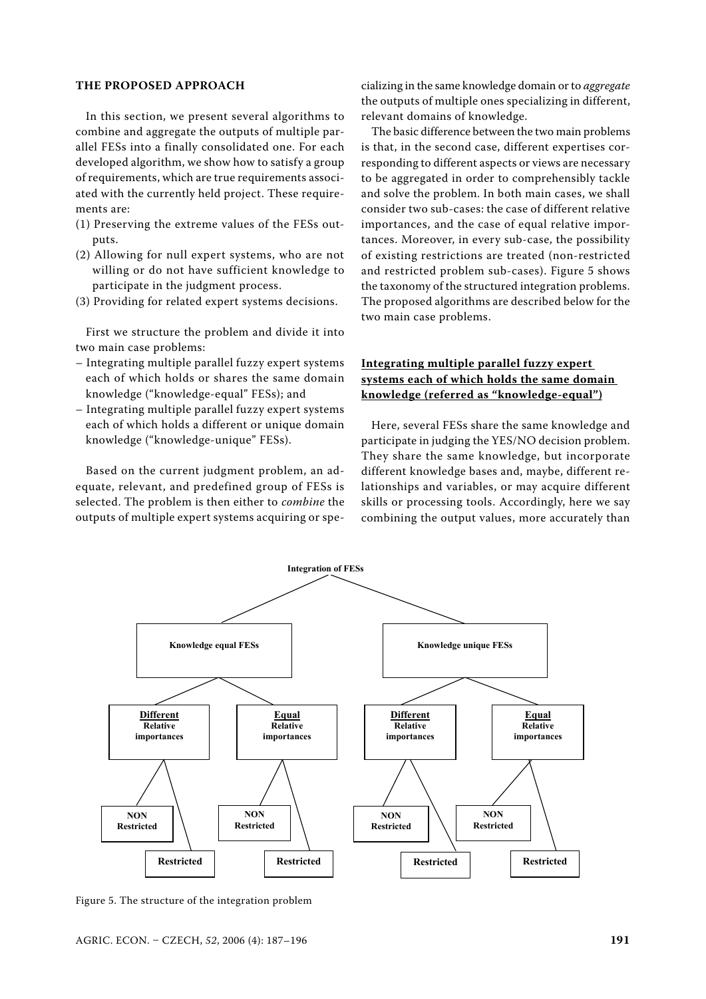#### **THE PROPOSED APPROACH**

In this section, we present several algorithms to combine and aggregate the outputs of multiple parallel FESs into a finally consolidated one. For each developed algorithm, we show how to satisfy a group of requirements, which are true requirements associated with the currently held project. These requirements are:

- (1) Preserving the extreme values of the FESs outputs.
- (2) Allowing for null expert systems, who are not willing or do not have sufficient knowledge to participate in the judgment process.
- (3) Providing for related expert systems decisions.

First we structure the problem and divide it into two main case problems:

- Integrating multiple parallel fuzzy expert systems each of which holds or shares the same domain knowledge ("knowledge-equal" FESs); and
- Integrating multiple parallel fuzzy expert systems each of which holds a different or unique domain knowledge ("knowledge-unique" FESs).

Based on the current judgment problem, an adequate, relevant, and predefined group of FESs is selected. The problem is then either to *combine* the outputs of multiple expert systems acquiring or specializing in the same knowledge domain or to *aggregate*  the outputs of multiple ones specializing in different, relevant domains of knowledge.

The basic difference between the two main problems is that, in the second case, different expertises corresponding to different aspects or views are necessary to be aggregated in order to comprehensibly tackle and solve the problem. In both main cases, we shall consider two sub-cases: the case of different relative importances, and the case of equal relative importances. Moreover, in every sub-case, the possibility of existing restrictions are treated (non-restricted and restricted problem sub-cases). Figure 5 shows the taxonomy of the structured integration problems. The proposed algorithms are described below for the two main case problems.

# **Integrating multiple parallel fuzzy expert systems each of which holds the same domain knowledge (referred as "knowledge-equal")**

Here, several FESs share the same knowledge and participate in judging the YES/NO decision problem. They share the same knowledge, but incorporate different knowledge bases and, maybe, different relationships and variables, or may acquire different skills or processing tools. Accordingly, here we say combining the output values, more accurately than



Figure 5. The structure of the integration problem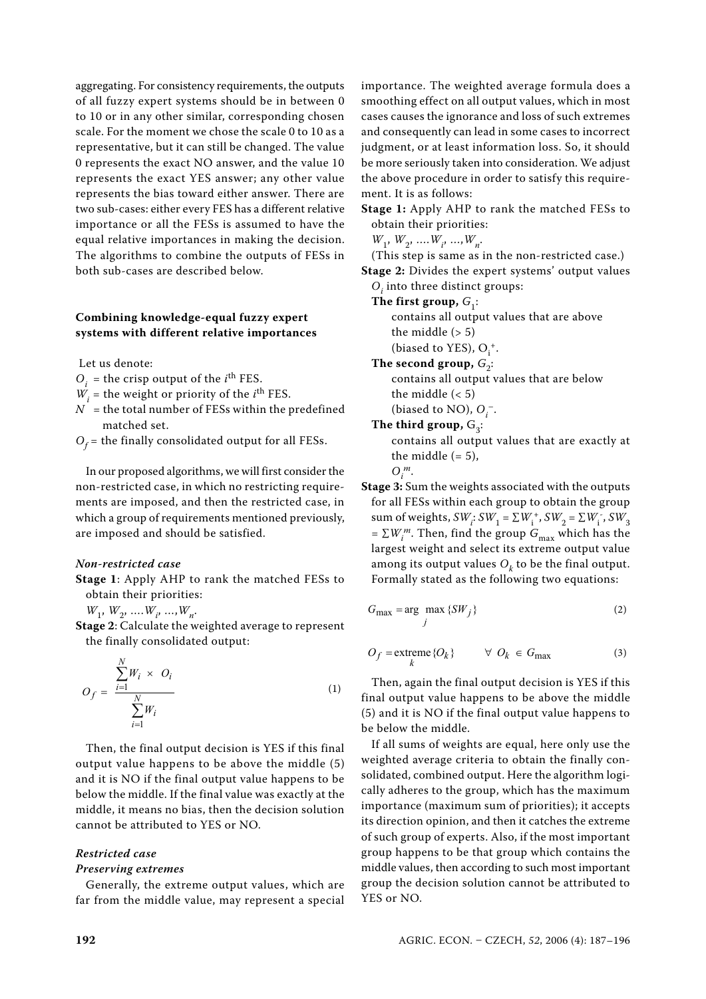aggregating. For consistency requirements, the outputs of all fuzzy expert systems should be in between 0 to 10 or in any other similar, corresponding chosen scale. For the moment we chose the scale 0 to 10 as a representative, but it can still be changed. The value 0 represents the exact NO answer, and the value 10 represents the exact YES answer; any other value represents the bias toward either answer. There are two sub-cases: either every FES has a different relative importance or all the FESs is assumed to have the equal relative importances in making the decision. The algorithms to combine the outputs of FESs in both sub-cases are described below.

# **Combining knowledge-equal fuzzy expert systems with different relative importances**

Let us denote:

- $O_i$  = the crisp output of the *i*<sup>th</sup> FES.
- $W_i$  = the weight or priority of the *i*<sup>th</sup> FES.
- $N =$  the total number of FESs within the predefined matched set.
- $O_f^+$  = the finally consolidated output for all FESs.

In our proposed algorithms, we will first consider the non-restricted case, in which no restricting requirements are imposed, and then the restricted case, in which a group of requirements mentioned previously, are imposed and should be satisfied.

#### *Non-restricted case*

**Stage 1**: Apply AHP to rank the matched FESs to obtain their priorities:

 $W_1, W_2, \ldots, W_i, \ldots, W_n.$ 

**Stage 2**: Calculate the weighted average to represent the finally consolidated output:

$$
O_f = \frac{\sum_{i=1}^{N} W_i \times O_i}{\sum_{i=1}^{N} W_i}
$$
 (1)

Then, the final output decision is YES if this final output value happens to be above the middle (5) and it is NO if the final output value happens to be below the middle. If the final value was exactly at the middle, it means no bias, then the decision solution cannot be attributed to YES or NO.

# *Restricted case*

#### *Preserving extremes*

Generally, the extreme output values, which are far from the middle value, may represent a special importance. The weighted average formula does a smoothing effect on all output values, which in most cases causes the ignorance and loss of such extremes and consequently can lead in some cases to incorrect judgment, or at least information loss. So, it should be more seriously taken into consideration. We adjust the above procedure in order to satisfy this requirement. It is as follows:

**Stage 1:** Apply AHP to rank the matched FESs to obtain their priorities:

 $W_1, W_2, \ldots, W_i, \ldots, W_n$ .

(This step is same as in the non-restricted case.)

**Stage 2:** Divides the expert systems' output values  $O_i$  into three distinct groups:

The first group,  $G_1$ :

contains all output values that are above the middle  $(> 5)$ 

(biased to YES),  $O_i^+$ .

The second group,  $G_2$ : contains all output values that are below

the middle  $(< 5)$ 

- (biased to NO),  $O_i^-$ . The third group,  $G_3$ :
	- contains all output values that are exactly at the middle  $(= 5)$ ,

$$
O_i^m.
$$

**Stage 3:** Sum the weights associated with the outputs for all FESs within each group to obtain the group sum of weights,  $SW_i$ :  $SW_1 = \sum W_i^+$ ,  $SW_2 = \sum W_i^+$ ,  $SW_3$ =  $\Sigma W^m_i$ . Then, find the group  $G_{\text{max}}$  which has the largest weight and select its extreme output value among its output values  $O_k$  to be the final output. Formally stated as the following two equations:

$$
G_{\text{max}} = \underset{j}{\text{arg max }} \{SW_j\}
$$
 (2)

$$
O_f = \text{extreme}\{O_k\} \qquad \forall \ O_k \in G_{\text{max}} \tag{3}
$$

Then, again the final output decision is YES if this final output value happens to be above the middle (5) and it is NO if the final output value happens to be below the middle.

If all sums of weights are equal, here only use the weighted average criteria to obtain the finally consolidated, combined output. Here the algorithm logically adheres to the group, which has the maximum importance (maximum sum of priorities); it accepts its direction opinion, and then it catches the extreme of such group of experts. Also, if the most important group happens to be that group which contains the middle values, then according to such most important group the decision solution cannot be attributed to YES or NO.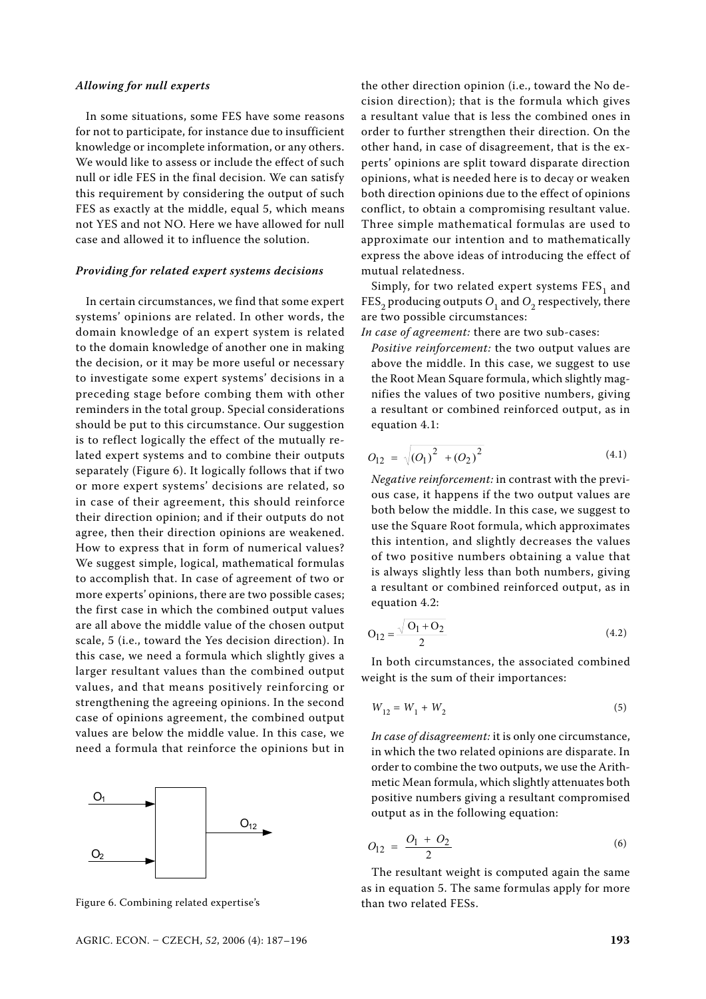#### *Allowing for null experts*

In some situations, some FES have some reasons for not to participate, for instance due to insufficient knowledge or incomplete information, or any others. We would like to assess or include the effect of such null or idle FES in the final decision. We can satisfy this requirement by considering the output of such FES as exactly at the middle, equal 5, which means not YES and not NO. Here we have allowed for null case and allowed it to influence the solution.

#### *Providing for related expert systems decisions*

In certain circumstances, we find that some expert systems' opinions are related. In other words, the domain knowledge of an expert system is related to the domain knowledge of another one in making the decision, or it may be more useful or necessary to investigate some expert systems' decisions in a preceding stage before combing them with other reminders in the total group. Special considerations should be put to this circumstance. Our suggestion is to reflect logically the effect of the mutually related expert systems and to combine their outputs separately (Figure 6). It logically follows that if two or more expert systems' decisions are related, so in case of their agreement, this should reinforce their direction opinion; and if their outputs do not agree, then their direction opinions are weakened. How to express that in form of numerical values? We suggest simple, logical, mathematical formulas to accomplish that. In case of agreement of two or more experts' opinions, there are two possible cases; the first case in which the combined output values are all above the middle value of the chosen output scale, 5 (i.e., toward the Yes decision direction). In this case, we need a formula which slightly gives a larger resultant values than the combined output values, and that means positively reinforcing or strengthening the agreeing opinions. In the second case of opinions agreement, the combined output values are below the middle value. In this case, we need a formula that reinforce the opinions but in



the other direction opinion (i.e., toward the No decision direction); that is the formula which gives a resultant value that is less the combined ones in order to further strengthen their direction. On the other hand, in case of disagreement, that is the experts' opinions are split toward disparate direction opinions, what is needed here is to decay or weaken both direction opinions due to the effect of opinions conflict, to obtain a compromising resultant value. Three simple mathematical formulas are used to approximate our intention and to mathematically express the above ideas of introducing the effect of mutual relatedness.

Simply, for two related expert systems  $FES_1$  and FES<sub>2</sub> producing outputs  $O_1$  and  $O_2$  respectively, there are two possible circumstances:

*In case of agreement:* there are two sub-cases:

*Positive reinforcement:* the two output values are above the middle. In this case, we suggest to use the Root Mean Square formula, which slightly magnifies the values of two positive numbers, giving a resultant or combined reinforced output, as in equation 4.1:

$$
O_{12} = \sqrt{(O_1)^2 + (O_2)^2}
$$
 (4.1)

*Negative reinforcement:* in contrast with the previous case, it happens if the two output values are both below the middle. In this case, we suggest to use the Square Root formula, which approximates this intention, and slightly decreases the values of two positive numbers obtaining a value that is always slightly less than both numbers, giving a resultant or combined reinforced output, as in equation 4.2:

$$
O_{12} = \frac{\sqrt{O_1 + O_2}}{2}
$$
 (4.2)

In both circumstances, the associated combined weight is the sum of their importances:

$$
W_{12} = W_1 + W_2 \tag{5}
$$

*In case of disagreement:* it is only one circumstance, in which the two related opinions are disparate. In order to combine the two outputs, we use the Arithmetic Mean formula, which slightly attenuates both positive numbers giving a resultant compromised output as in the following equation:

$$
O_{12} = \frac{O_1 + O_2}{2} \tag{6}
$$

The resultant weight is computed again the same as in equation 5. The same formulas apply for more Figure 6. Combining related expertise's head than two related FESs.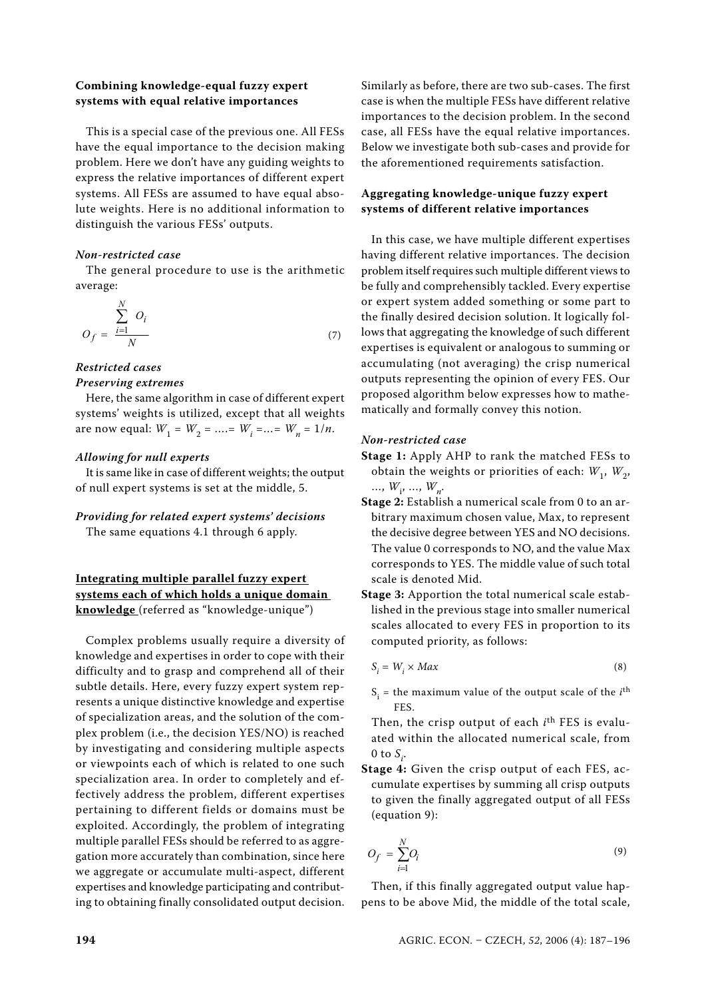# **Combining knowledge-equal fuzzy expert systems with equal relative importances**

This is a special case of the previous one. All FESs have the equal importance to the decision making problem. Here we don't have any guiding weights to express the relative importances of different expert systems. All FESs are assumed to have equal absolute weights. Here is no additional information to distinguish the various FESs' outputs.

# *Non-restricted case*

The general procedure to use is the arithmetic average:

$$
O_f = \frac{\sum_{i=1}^{N} O_i}{N} \tag{7}
$$

# *Restricted cases Preserving extremes*

Here, the same algorithm in case of different expert systems' weights is utilized, except that all weights are now equal:  $W_1 = W_2 = .... = W_i = ... = W_n = 1/n$ .

#### *Allowing for null experts*

It is same like in case of different weights; the output of null expert systems is set at the middle, 5.

# *Providing for related expert systems' decisions*

The same equations 4.1 through 6 apply.

# **Integrating multiple parallel fuzzy expert systems each of which holds a unique domain knowledge** (referred as "knowledge-unique")

Complex problems usually require a diversity of knowledge and expertises in order to cope with their difficulty and to grasp and comprehend all of their subtle details. Here, every fuzzy expert system represents a unique distinctive knowledge and expertise of specialization areas, and the solution of the complex problem (i.e., the decision YES/NO) is reached by investigating and considering multiple aspects or viewpoints each of which is related to one such specialization area. In order to completely and effectively address the problem, different expertises pertaining to different fields or domains must be exploited. Accordingly, the problem of integrating multiple parallel FESs should be referred to as aggregation more accurately than combination, since here we aggregate or accumulate multi-aspect, different expertises and knowledge participating and contributing to obtaining finally consolidated output decision.

Similarly as before, there are two sub-cases. The first case is when the multiple FESs have different relative importances to the decision problem. In the second case, all FESs have the equal relative importances. Below we investigate both sub-cases and provide for the aforementioned requirements satisfaction.

# **Aggregating knowledge-unique fuzzy expert systems of different relative importances**

In this case, we have multiple different expertises having different relative importances. The decision problem itself requires such multiple different views to be fully and comprehensibly tackled. Every expertise or expert system added something or some part to the finally desired decision solution. It logically follows that aggregating the knowledge of such different expertises is equivalent or analogous to summing or accumulating (not averaging) the crisp numerical outputs representing the opinion of every FES. Our proposed algorithm below expresses how to mathematically and formally convey this notion.

# *Non-restricted case*

- **Stage 1:** Apply AHP to rank the matched FESs to obtain the weights or priorities of each:  $W_1$ ,  $W_2$ ,  $..., W_{i}$ , ...,  $W_{n}$ .
- **Stage 2:** Establish a numerical scale from 0 to an arbitrary maximum chosen value, Max, to represent the decisive degree between YES and NO decisions. The value 0 corresponds to NO, and the value Max corresponds to YES. The middle value of such total scale is denoted Mid.
- **Stage 3:** Apportion the total numerical scale established in the previous stage into smaller numerical scales allocated to every FES in proportion to its computed priority, as follows:

$$
S_i = W_i \times Max \tag{8}
$$

 $S_i$  = the maximum value of the output scale of the  $i^{\text{th}}$ FES.

Then, the crisp output of each *i*th FES is evaluated within the allocated numerical scale, from 0 to  $S_i$ .

**Stage 4:** Given the crisp output of each FES, accumulate expertises by summing all crisp outputs to given the finally aggregated output of all FESs (equation 9):

$$
O_f = \sum_{i=1}^{N} O_i \tag{9}
$$

Then, if this finally aggregated output value happens to be above Mid, the middle of the total scale,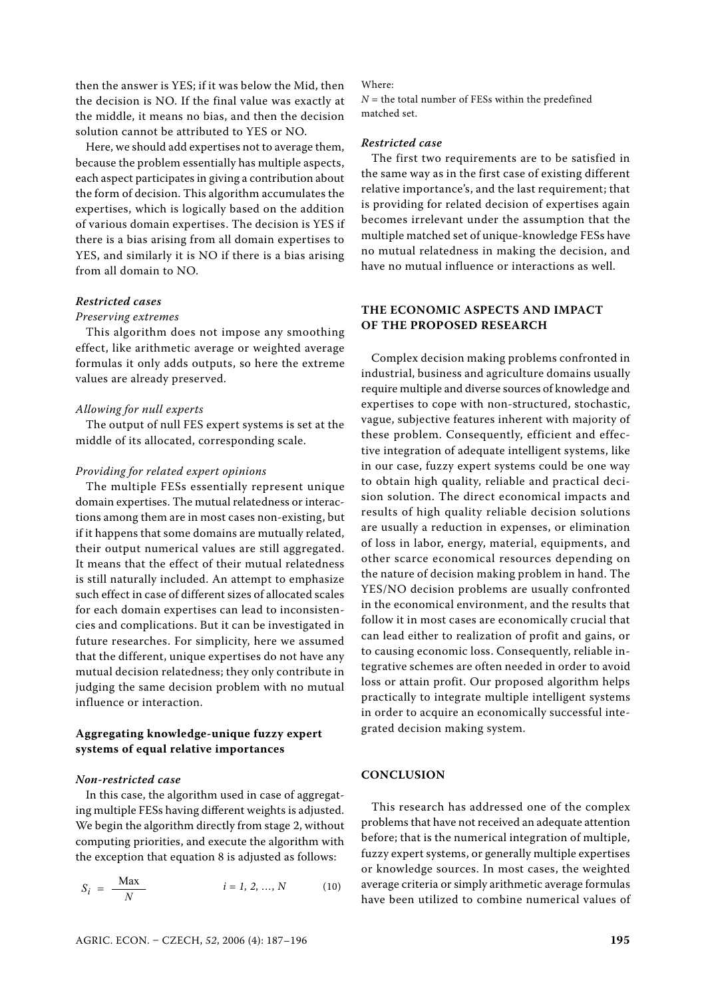then the answer is YES; if it was below the Mid, then the decision is NO. If the final value was exactly at the middle, it means no bias, and then the decision solution cannot be attributed to YES or NO.

Here, we should add expertises not to average them, because the problem essentially has multiple aspects, each aspect participates in giving a contribution about the form of decision. This algorithm accumulates the expertises, which is logically based on the addition of various domain expertises. The decision is YES if there is a bias arising from all domain expertises to YES, and similarly it is NO if there is a bias arising from all domain to NO.

#### *Restricted cases*

# *Preserving extremes*

This algorithm does not impose any smoothing effect, like arithmetic average or weighted average formulas it only adds outputs, so here the extreme values are already preserved.

#### *Allowing for null experts*

The output of null FES expert systems is set at the middle of its allocated, corresponding scale.

#### *Providing for related expert opinions*

The multiple FESs essentially represent unique domain expertises. The mutual relatedness or interactions among them are in most cases non-existing, but if it happens that some domains are mutually related, their output numerical values are still aggregated. It means that the effect of their mutual relatedness is still naturally included. An attempt to emphasize such effect in case of different sizes of allocated scales for each domain expertises can lead to inconsistencies and complications. But it can be investigated in future researches. For simplicity, here we assumed that the different, unique expertises do not have any mutual decision relatedness; they only contribute in judging the same decision problem with no mutual influence or interaction.

# **Aggregating knowledge-unique fuzzy expert systems of equal relative importances**

#### *Non-restricted case*

In this case, the algorithm used in case of aggregating multiple FESs having different weights is adjusted. We begin the algorithm directly from stage 2, without computing priorities, and execute the algorithm with the exception that equation 8 is adjusted as follows:

$$
S_i = \frac{\text{Max}}{N} \qquad i = 1, 2, ..., N \qquad (10)
$$

#### Where:

 $N =$  the total number of FESs within the predefined matched set.

#### *Restricted case*

The first two requirements are to be satisfied in the same way as in the first case of existing different relative importance's, and the last requirement; that is providing for related decision of expertises again becomes irrelevant under the assumption that the multiple matched set of unique-knowledge FESs have no mutual relatedness in making the decision, and have no mutual influence or interactions as well.

# **THE ECONOMIC ASPECTS AND IMPACT OF THE PROPOSED RESEARCH**

Complex decision making problems confronted in industrial, business and agriculture domains usually require multiple and diverse sources of knowledge and expertises to cope with non-structured, stochastic, vague, subjective features inherent with majority of these problem. Consequently, efficient and effective integration of adequate intelligent systems, like in our case, fuzzy expert systems could be one way to obtain high quality, reliable and practical decision solution. The direct economical impacts and results of high quality reliable decision solutions are usually a reduction in expenses, or elimination of loss in labor, energy, material, equipments, and other scarce economical resources depending on the nature of decision making problem in hand. The YES/NO decision problems are usually confronted in the economical environment, and the results that follow it in most cases are economically crucial that can lead either to realization of profit and gains, or to causing economic loss. Consequently, reliable integrative schemes are often needed in order to avoid loss or attain profit. Our proposed algorithm helps practically to integrate multiple intelligent systems in order to acquire an economically successful integrated decision making system.

# **CONCLUSION**

This research has addressed one of the complex problems that have not received an adequate attention before; that is the numerical integration of multiple, fuzzy expert systems, or generally multiple expertises or knowledge sources. In most cases, the weighted average criteria or simply arithmetic average formulas *N* have been utilized to combine numerical values of